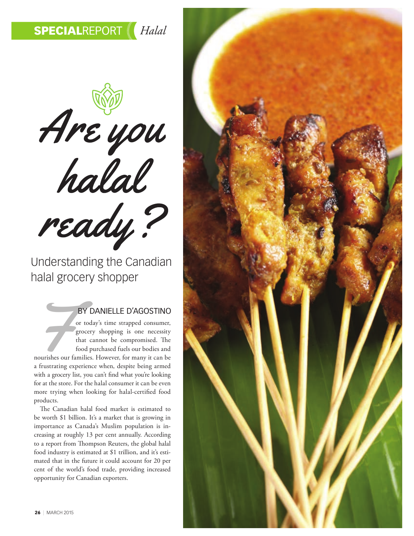Are you ready?

Understanding the Canadian halal grocery shopper

## BY DANIELLE D'AGOSTINO

BY DANIELLE D'AGOSTINO<br>
or today's time strapped consumer,<br>
grocery shopping is one necessity<br>
that cannot be compromised. The<br>
food purchased fuels our bodies and<br>
nourishes our families. However, for many it can be<br>
a fr grocery shopping is one necessity that cannot be compromised. The food purchased fuels our bodies and nourishes our families. However, for many it can be a frustrating experience when, despite being armed with a grocery list, you can't fnd what you're looking for at the store. For the halal consumer it can be even more trying when looking for halal-certifed food products.

The Canadian halal food market is estimated to be worth \$1 billion. It's a market that is growing in importance as Canada's Muslim population is increasing at roughly 13 per cent annually. According to a report from Thompson Reuters, the global halal food industry is estimated at \$1 trillion, and it's estimated that in the future it could account for 20 per cent of the world's food trade, providing increased opportunity for Canadian exporters.

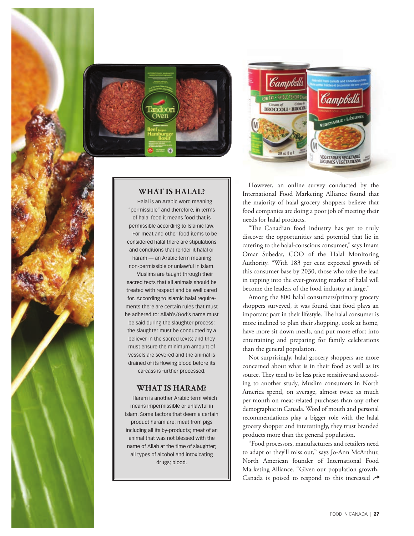



**WHAT IS HALAL?**

Halal is an Arabic word meaning "permissible" and therefore, in terms of halal food it means food that is permissible according to Islamic law. For meat and other food items to be considered halal there are stipulations and conditions that render it halal or haram — an Arabic term meaning non-permissible or unlawful in Islam.

Muslims are taught through their sacred texts that all animals should be treated with respect and be well cared for. According to Islamic halal requirements there are certain rules that must be adhered to: Allah's/God's name must be said during the slaughter process; the slaughter must be conducted by a believer in the sacred texts; and they must ensure the minimum amount of vessels are severed and the animal is drained of its flowing blood before its carcass is further processed.

## **WHAT IS HARAM?**

Haram is another Arabic term which means impermissible or unlawful in Islam. Some factors that deem a certain product haram are: meat from pigs including all its by-products; meat of an animal that was not blessed with the name of Allah at the time of slaughter; all types of alcohol and intoxicating drugs; blood.

However, an online survey conducted by the International Food Marketing Alliance found that the majority of halal grocery shoppers believe that food companies are doing a poor job of meeting their needs for halal products.

"The Canadian food industry has yet to truly discover the opportunities and potential that lie in catering to the halal-conscious consumer," says Imam Omar Subedar, COO of the Halal Monitoring Authority. "With 183 per cent expected growth of this consumer base by 2030, those who take the lead in tapping into the ever-growing market of halal will become the leaders of the food industry at large."

Among the 800 halal consumers/primary grocery shoppers surveyed, it was found that food plays an important part in their lifestyle. The halal consumer is more inclined to plan their shopping, cook at home, have more sit down meals, and put more effort into entertaining and preparing for family celebrations than the general population.

Not surprisingly, halal grocery shoppers are more concerned about what is in their food as well as its source. They tend to be less price sensitive and according to another study, Muslim consumers in North America spend, on average, almost twice as much per month on meat-related purchases than any other demographic in Canada. Word of mouth and personal recommendations play a bigger role with the halal grocery shopper and interestingly, they trust branded products more than the general population.

"Food processors, manufacturers and retailers need to adapt or they'll miss out," says Jo-Ann McArthur, North American founder of International Food Marketing Alliance. "Given our population growth, Canada is poised to respond to this increased  $\rightarrow$